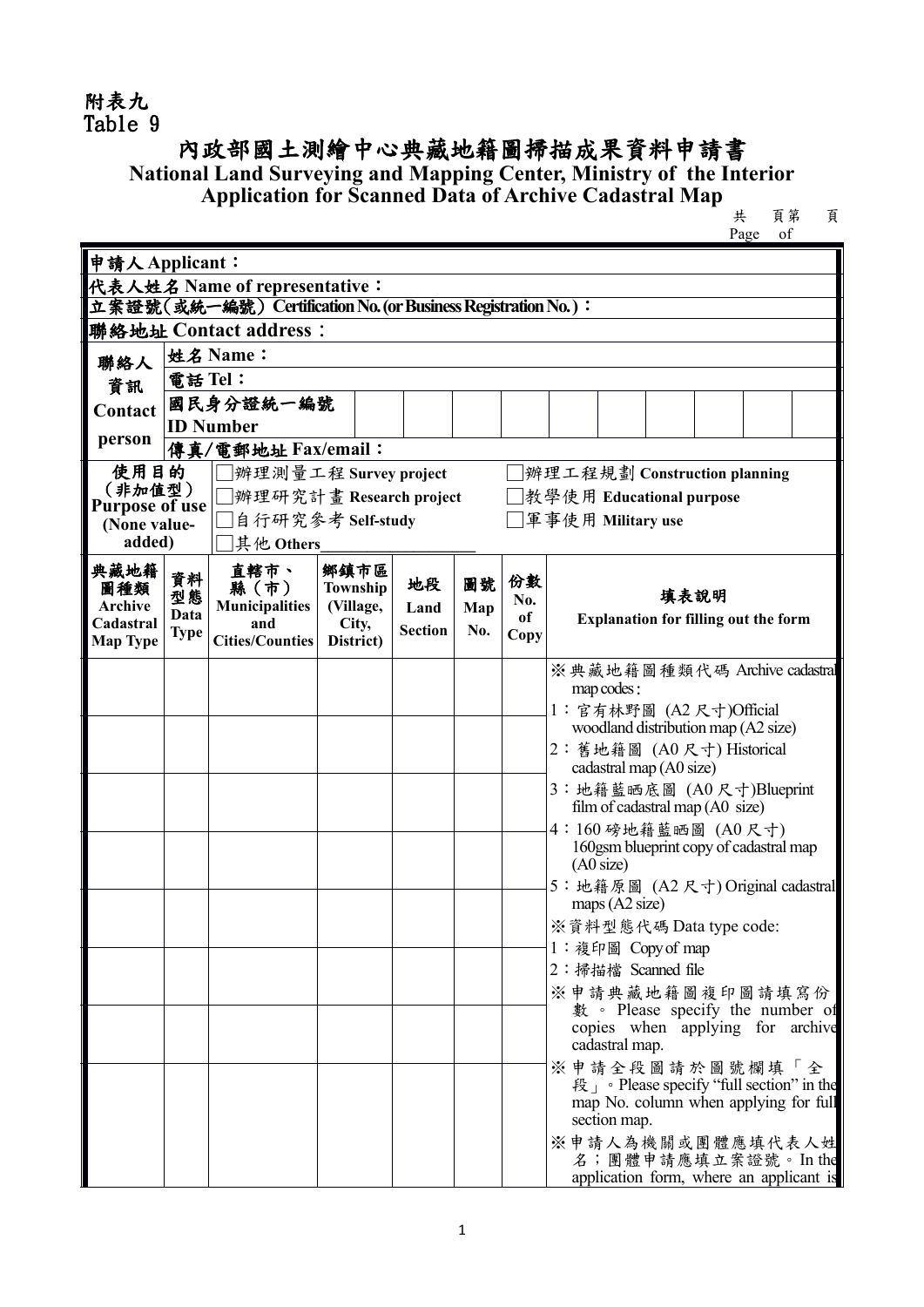## 附表九 Table 9

## 內政部國土測繪中心典藏地籍圖掃描成果資料申請書 **National Land Surveying and Mapping Center, Ministry of the Interior Application for Scanned Data of Archive Cadastral Map**  $\qquad \qquad \star$  **頁第 頁**

共<br>
Page of

| 申請人Applicant:                                                           |                    |                                                               |                    |                |     |            |                                                           |  |  |  |  |
|-------------------------------------------------------------------------|--------------------|---------------------------------------------------------------|--------------------|----------------|-----|------------|-----------------------------------------------------------|--|--|--|--|
|                                                                         |                    | 代表人姓名 Name of representative:                                 |                    |                |     |            |                                                           |  |  |  |  |
|                                                                         |                    | 立案證號(或統一編號) Certification No. (or Business Registration No.): |                    |                |     |            |                                                           |  |  |  |  |
| 聯絡地址 Contact address:                                                   |                    |                                                               |                    |                |     |            |                                                           |  |  |  |  |
| 聯絡人                                                                     | 姓名 Name:           |                                                               |                    |                |     |            |                                                           |  |  |  |  |
| 資訊                                                                      | 電話 Tel:            |                                                               |                    |                |     |            |                                                           |  |  |  |  |
| Contact                                                                 |                    | 國民身分證統一編號                                                     |                    |                |     |            |                                                           |  |  |  |  |
| person                                                                  | <b>ID Number</b>   |                                                               |                    |                |     |            |                                                           |  |  |  |  |
|                                                                         | 傳真/電郵地址 Fax/email: |                                                               |                    |                |     |            |                                                           |  |  |  |  |
| 使用目的<br>辨理工程規劃 Construction planning<br>辨理測量工程 Survey project<br>(非加值型) |                    |                                                               |                    |                |     |            |                                                           |  |  |  |  |
| <b>Purpose of use</b>                                                   |                    | 辨理研究計畫 Research project                                       |                    |                |     |            | □教學使用 Educational purpose                                 |  |  |  |  |
| (None value-                                                            |                    | 自行研究参考 Self-study                                             |                    |                |     |            | □軍事使用 Military use                                        |  |  |  |  |
| added)                                                                  |                    | 其他 Others                                                     |                    |                |     |            |                                                           |  |  |  |  |
| 典藏地籍<br>圖種類                                                             | 資料                 | 直轄市、<br>縣(市)                                                  | 鄉鎮市區<br>Township   | 地段             | 圖號  | 份數         |                                                           |  |  |  |  |
| Archive                                                                 | 型態<br>Data         | <b>Municipalities</b>                                         | (Village,          | Land           | Map | No.        | 填表說明                                                      |  |  |  |  |
| Cadastral<br><b>Map Type</b>                                            | <b>Type</b>        | and<br><b>Cities/Counties</b>                                 | City,<br>District) | <b>Section</b> | No. | of<br>Copy | <b>Explanation for filling out the form</b>               |  |  |  |  |
|                                                                         |                    |                                                               |                    |                |     |            |                                                           |  |  |  |  |
|                                                                         |                    |                                                               |                    |                |     |            | ※典藏地籍圖種類代碼 Archive cadastral<br>map codes:                |  |  |  |  |
|                                                                         |                    |                                                               |                    |                |     |            | 1: 官有林野圖 (A2 尺寸)Official                                  |  |  |  |  |
|                                                                         |                    |                                                               |                    |                |     |            | woodland distribution map (A2 size)                       |  |  |  |  |
|                                                                         |                    |                                                               |                    |                |     |            | 2: 舊地籍圖 (A0尺寸) Historical                                 |  |  |  |  |
|                                                                         |                    |                                                               |                    |                |     |            | cadastral map (A0 size)<br>3: 地籍藍晒底圖 (A0尺寸)Blueprint      |  |  |  |  |
|                                                                         |                    |                                                               |                    |                |     |            | film of cadastral map (A0 size)                           |  |  |  |  |
|                                                                         |                    |                                                               |                    |                |     |            | 4:160磅地籍藍晒圖 (A0尺寸)                                        |  |  |  |  |
|                                                                         |                    |                                                               |                    |                |     |            | 160gsm blueprint copy of cadastral map<br>(AO size)       |  |  |  |  |
|                                                                         |                    |                                                               |                    |                |     |            | 5: 地籍原圖 (A2 尺寸) Original cadastral                        |  |  |  |  |
|                                                                         |                    |                                                               |                    |                |     |            | maps $(A2 \text{ size})$                                  |  |  |  |  |
|                                                                         |                    |                                                               |                    |                |     |            | ※資料型態代碼 Data type code:                                   |  |  |  |  |
|                                                                         |                    |                                                               |                    |                |     |            | 1: 複印圖 Copy of map                                        |  |  |  |  |
|                                                                         |                    |                                                               |                    |                |     |            | 2: 掃描檔 Scanned file                                       |  |  |  |  |
|                                                                         |                    |                                                               |                    |                |     |            | ※申請典藏地籍圖複印圖請填寫份 <br>數 · Please specify the number of      |  |  |  |  |
|                                                                         |                    |                                                               |                    |                |     |            | copies when applying for archive                          |  |  |  |  |
|                                                                         |                    |                                                               |                    |                |     |            | cadastral map.                                            |  |  |  |  |
|                                                                         |                    |                                                               |                    |                |     |            | ※申請全段圖請於圖號欄填「全<br>段」。Please specify "full section" in the |  |  |  |  |
|                                                                         |                    |                                                               |                    |                |     |            | map No. column when applying for full                     |  |  |  |  |
|                                                                         |                    |                                                               |                    |                |     |            | section map.                                              |  |  |  |  |
|                                                                         |                    |                                                               |                    |                |     |            | ※申請人為機關或團體應填代表人姓<br>名;團體申請應填立案證號。In the                   |  |  |  |  |
|                                                                         |                    |                                                               |                    |                |     |            | application form, where an applicant is                   |  |  |  |  |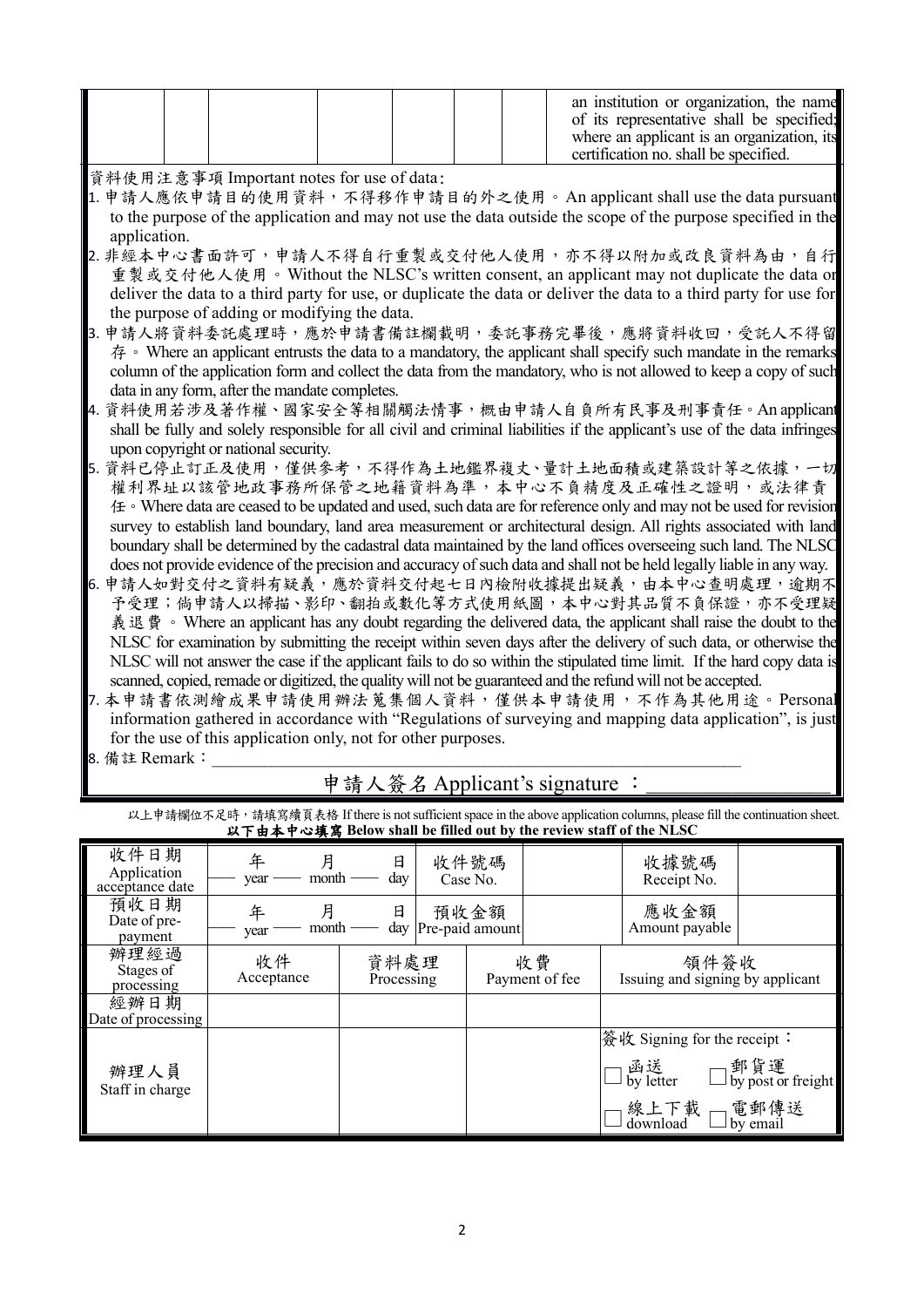|               |                                                               |                               | an institution or organization, the name<br>of its representative shall be specified;<br>where an applicant is an organization, its<br>certification no. shall be specified. |
|---------------|---------------------------------------------------------------|-------------------------------|------------------------------------------------------------------------------------------------------------------------------------------------------------------------------|
|               | 資料使用注意事項 Important notes for use of data:                     |                               |                                                                                                                                                                              |
|               |                                                               |                               | 1. 申請人應依申請目的使用資料,不得移作申請目的外之使用。An applicant shall use the data pursuant                                                                                                       |
| application.  |                                                               |                               | to the purpose of the application and may not use the data outside the scope of the purpose specified in the                                                                 |
|               |                                                               |                               | 2. 非經本中心書面許可, 申請人不得自行重製或交付他人使用, 亦不得以附加或改良資料為由, 自行                                                                                                                            |
|               |                                                               |                               | 重製或交付他人使用。Without the NLSC's written consent, an applicant may not duplicate the data or                                                                                     |
|               |                                                               |                               | deliver the data to a third party for use, or duplicate the data or deliver the data to a third party for use for                                                            |
|               | the purpose of adding or modifying the data.                  |                               |                                                                                                                                                                              |
|               |                                                               |                               | 3. 申請人將資料委託處理時,應於申請書備註欄載明,委託事務完畢後,應將資料收回,受託人不得留                                                                                                                              |
|               |                                                               |                               | 存。 Where an applicant entrusts the data to a mandatory, the applicant shall specify such mandate in the remarks                                                              |
|               |                                                               |                               | column of the application form and collect the data from the mandatory, who is not allowed to keep a copy of such                                                            |
|               | data in any form, after the mandate completes.                |                               |                                                                                                                                                                              |
|               |                                                               |                               | 4. 資料使用若涉及著作權、國家安全等相關觸法情事,概由申請人自負所有民事及刑事責任。An applicant                                                                                                                      |
|               |                                                               |                               | shall be fully and solely responsible for all civil and criminal liabilities if the applicant's use of the data infringes                                                    |
|               | upon copyright or national security.                          |                               |                                                                                                                                                                              |
|               |                                                               |                               | 5. 資料已停止訂正及使用,僅供參考,不得作為土地鑑界複丈、量計土地面積或建築設計等之依據,一切                                                                                                                             |
|               |                                                               |                               | 權利界址以該管地政事務所保管之地籍資料為準,本中心不負精度及正確性之證明,或法律責                                                                                                                                    |
|               |                                                               |                               | 任。Where data are ceased to be updated and used, such data are for reference only and may not be used for revision                                                            |
|               |                                                               |                               | survey to establish land boundary, land area measurement or architectural design. All rights associated with land                                                            |
|               |                                                               |                               | boundary shall be determined by the cadastral data maintained by the land offices overseeing such land. The NLSC                                                             |
|               |                                                               |                               | does not provide evidence of the precision and accuracy of such data and shall not be held legally liable in any way.                                                        |
|               |                                                               |                               | 6. 申請人如對交付之資料有疑義,應於資料交付起七日內檢附收據提出疑義,由本中心查明處理,逾期不                                                                                                                             |
|               |                                                               |                               | 予受理;倘申請人以掃描、影印、翻拍或數化等方式使用紙圖,本中心對其品質不負保證,亦不受理疑                                                                                                                                |
|               |                                                               |                               | 義退費。 Where an applicant has any doubt regarding the delivered data, the applicant shall raise the doubt to the                                                               |
|               |                                                               |                               | NLSC for examination by submitting the receipt within seven days after the delivery of such data, or otherwise the                                                           |
|               |                                                               |                               | NLSC will not answer the case if the applicant fails to do so within the stipulated time limit. If the hard copy data is                                                     |
|               |                                                               |                               | scanned, copied, remade or digitized, the quality will not be guaranteed and the refund will not be accepted.                                                                |
|               |                                                               |                               | 7. 本申請書依測繪成果申請使用辦法蒐集個人資料, 僅供本申請使用, 不作為其他用途。Personal                                                                                                                          |
|               |                                                               |                               | information gathered in accordance with "Regulations of surveying and mapping data application", is just                                                                     |
|               | for the use of this application only, not for other purposes. |                               |                                                                                                                                                                              |
| 8. 備註 Remark: |                                                               |                               |                                                                                                                                                                              |
|               |                                                               | 申請人簽名 Applicant's signature : |                                                                                                                                                                              |
|               |                                                               |                               | 以上申請欄位不足時,請填寫續頁表格 If there is not sufficient space in the above application columns, please fill the continuation sheet.                                                     |

|                                        | 以下由本中心填寫 Below shall be filled out by the review staff of the NLSC |                    |                         |                      |                                          |                                                               |                                                  |
|----------------------------------------|--------------------------------------------------------------------|--------------------|-------------------------|----------------------|------------------------------------------|---------------------------------------------------------------|--------------------------------------------------|
| 收件日期<br>Application<br>acceptance date | 年<br>月<br>month<br>year                                            | 日<br>day           | 收件號碼<br>Case No.        |                      |                                          | 收據號碼<br>Receipt No.                                           |                                                  |
| 預收日期<br>Date of pre-<br>payment        | 月<br>年<br>$m$ onth $-$<br>year                                     | 日<br>day           | 預收金額<br>Pre-paid amount |                      |                                          | 應收金額<br>Amount payable                                        |                                                  |
| 辦理經過<br>Stages of<br>processing        | 收件<br>Acceptance                                                   | 資料處理<br>Processing |                         | 收費<br>Payment of fee | 領件簽收<br>Issuing and signing by applicant |                                                               |                                                  |
| 經辦日期<br>Date of processing             |                                                                    |                    |                         |                      |                                          |                                                               |                                                  |
| 辦理人員<br>Staff in charge                |                                                                    |                    |                         |                      |                                          | 簽收 Signing for the receipt :<br>」線上下載<br>コdownload □ by email | □函送   □郵貨運<br>□ by letter   □ by post or freight |